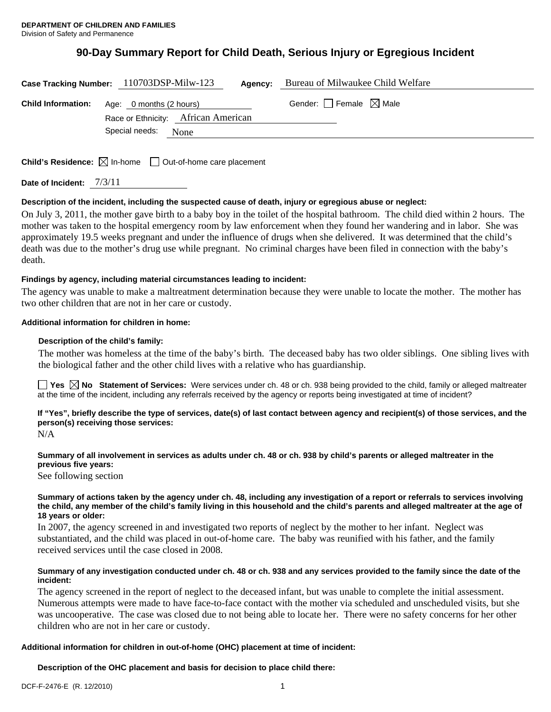# **90-Day Summary Report for Child Death, Serious Injury or Egregious Incident**

| Case Tracking Number: 110703DSP-Milw-123 |                        |                                                                                          | Agency: | Bureau of Milwaukee Child Welfare |
|------------------------------------------|------------------------|------------------------------------------------------------------------------------------|---------|-----------------------------------|
|                                          |                        | <b>Child Information:</b> Age: 0 months (2 hours)<br>Race or Ethnicity: African American |         | Gender: Female $\boxtimes$ Male   |
|                                          | Special needs:<br>None |                                                                                          |         |                                   |
|                                          |                        |                                                                                          |         |                                   |

**Child's Residence:**  $\boxtimes$  In-home  $\Box$  Out-of-home care placement

**Date of Incident:** 7/3/11

## **Description of the incident, including the suspected cause of death, injury or egregious abuse or neglect:**

On July 3, 2011, the mother gave birth to a baby boy in the toilet of the hospital bathroom. The child died within 2 hours. The mother was taken to the hospital emergency room by law enforcement when they found her wandering and in labor. She was approximately 19.5 weeks pregnant and under the influence of drugs when she delivered. It was determined that the child's death was due to the mother's drug use while pregnant. No criminal charges have been filed in connection with the baby's death.

## **Findings by agency, including material circumstances leading to incident:**

The agency was unable to make a maltreatment determination because they were unable to locate the mother. The mother has two other children that are not in her care or custody.

## **Additional information for children in home:**

## **Description of the child's family:**

The mother was homeless at the time of the baby's birth. The deceased baby has two older siblings. One sibling lives with the biological father and the other child lives with a relative who has guardianship.

**Yes No Statement of Services:** Were services under ch. 48 or ch. 938 being provided to the child, family or alleged maltreater at the time of the incident, including any referrals received by the agency or reports being investigated at time of incident?

**If "Yes", briefly describe the type of services, date(s) of last contact between agency and recipient(s) of those services, and the person(s) receiving those services:** 

N/A

**Summary of all involvement in services as adults under ch. 48 or ch. 938 by child's parents or alleged maltreater in the previous five years:** 

See following section

#### **Summary of actions taken by the agency under ch. 48, including any investigation of a report or referrals to services involving the child, any member of the child's family living in this household and the child's parents and alleged maltreater at the age of 18 years or older:**

In 2007, the agency screened in and investigated two reports of neglect by the mother to her infant. Neglect was substantiated, and the child was placed in out-of-home care. The baby was reunified with his father, and the family received services until the case closed in 2008.

## **Summary of any investigation conducted under ch. 48 or ch. 938 and any services provided to the family since the date of the incident:**

The agency screened in the report of neglect to the deceased infant, but was unable to complete the initial assessment. Numerous attempts were made to have face-to-face contact with the mother via scheduled and unscheduled visits, but she was uncooperative. The case was closed due to not being able to locate her. There were no safety concerns for her other children who are not in her care or custody.

#### **Additional information for children in out-of-home (OHC) placement at time of incident:**

**Description of the OHC placement and basis for decision to place child there:**